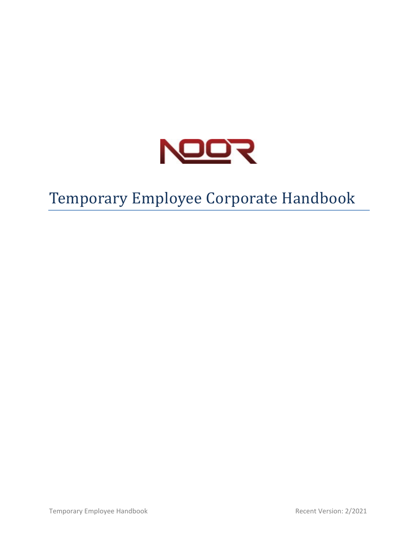

# Temporary Employee Corporate Handbook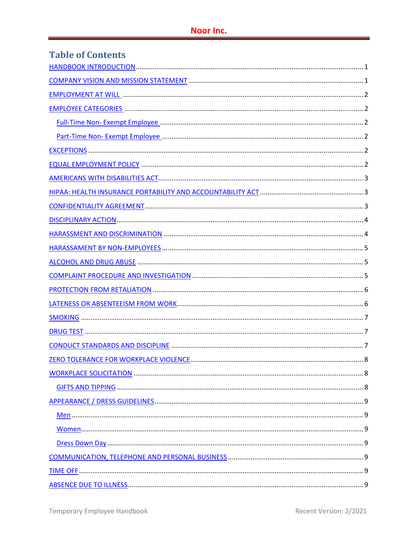| <b>Table of Contents</b> |
|--------------------------|
|                          |
|                          |
|                          |
|                          |
|                          |
|                          |
|                          |
|                          |
|                          |
|                          |
|                          |
|                          |
|                          |
|                          |
|                          |
|                          |
|                          |
|                          |
|                          |
|                          |
|                          |
|                          |
|                          |
|                          |
|                          |
|                          |
|                          |
|                          |
|                          |
|                          |
|                          |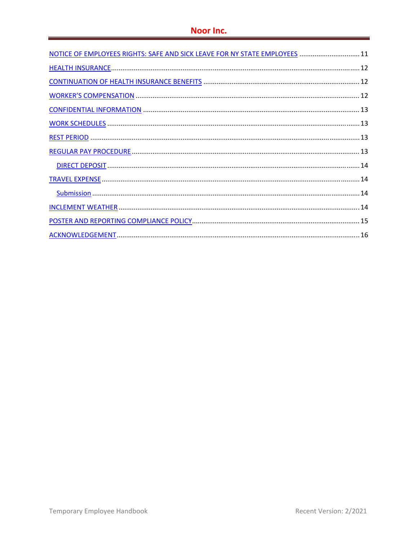| NOTICE OF EMPLOYEES RIGHTS: SAFE AND SICK LEAVE FOR NY STATE EMPLOYEES  11 |  |
|----------------------------------------------------------------------------|--|
|                                                                            |  |
|                                                                            |  |
|                                                                            |  |
|                                                                            |  |
|                                                                            |  |
|                                                                            |  |
|                                                                            |  |
|                                                                            |  |
|                                                                            |  |
|                                                                            |  |
|                                                                            |  |
|                                                                            |  |
|                                                                            |  |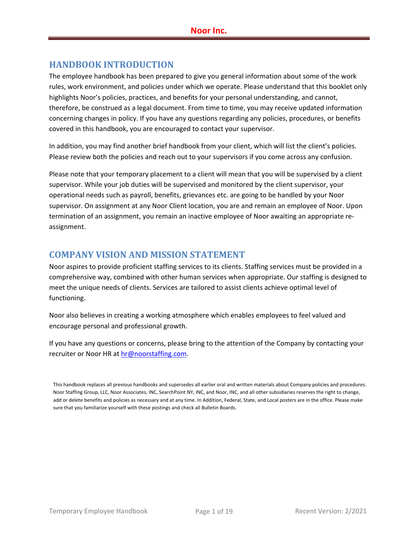# **HANDBOOK INTRODUCTION**

The employee handbook has been prepared to give you general information about some of the work rules, work environment, and policies under which we operate. Please understand that this booklet only highlights Noor's policies, practices, and benefits for your personal understanding, and cannot, therefore, be construed as a legal document. From time to time, you may receive updated information concerning changes in policy. If you have any questions regarding any policies, procedures, or benefits covered in this handbook, you are encouraged to contact your supervisor.

In addition, you may find another brief handbook from your client, which will list the client's policies. Please review both the policies and reach out to your supervisors if you come across any confusion.

Please note that your temporary placement to a client will mean that you will be supervised by a client supervisor. While your job duties will be supervised and monitored by the client supervisor, your operational needs such as payroll, benefits, grievances etc. are going to be handled by your Noor supervisor. On assignment at any Noor Client location, you are and remain an employee of Noor. Upon termination of an assignment, you remain an inactive employee of Noor awaiting an appropriate re‐ assignment.

## **COMPANY VISION AND MISSION STATEMENT**

Noor aspires to provide proficient staffing services to its clients. Staffing services must be provided in a comprehensive way, combined with other human services when appropriate. Our staffing is designed to meet the unique needs of clients. Services are tailored to assist clients achieve optimal level of functioning.

Noor also believes in creating a working atmosphere which enables employees to feel valued and encourage personal and professional growth.

If you have any questions or concerns, please bring to the attention of the Company by contacting your recruiter or Noor HR at hr@noorstaffing.com.

This handbook replaces all previous handbooks and supersedes all earlier oral and written materials about Company policies and procedures. Noor Staffing Group, LLC, Noor Associates, INC, SearchPoint NY, INC, and Noor, INC, and all other subsidiaries reserves the right to change, add or delete benefits and policies as necessary and at any time. In Addition, Federal, State, and Local posters are in the office. Please make sure that you familiarize yourself with these postings and check all Bulletin Boards.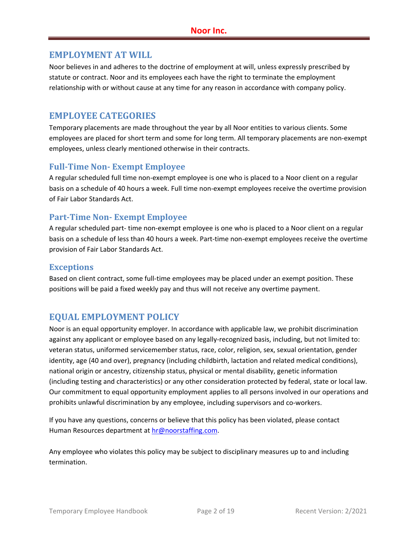#### **EMPLOYMENT AT WILL**

Noor believes in and adheres to the doctrine of employment at will, unless expressly prescribed by statute or contract. Noor and its employees each have the right to terminate the employment relationship with or without cause at any time for any reason in accordance with company policy.

#### **EMPLOYEE CATEGORIES**

Temporary placements are made throughout the year by all Noor entities to various clients. Some employees are placed for short term and some for long term. All temporary placements are non‐exempt employees, unless clearly mentioned otherwise in their contracts.

#### **Full‐Time Non‐ Exempt Employee**

A regular scheduled full time non‐exempt employee is one who is placed to a Noor client on a regular basis on a schedule of 40 hours a week. Full time non‐exempt employees receive the overtime provision of Fair Labor Standards Act.

#### **Part‐Time Non‐ Exempt Employee**

A regular scheduled part‐ time non‐exempt employee is one who is placed to a Noor client on a regular basis on a schedule of less than 40 hours a week. Part‐time non‐exempt employees receive the overtime provision of Fair Labor Standards Act.

#### **Exceptions**

Based on client contract, some full‐time employees may be placed under an exempt position. These positions will be paid a fixed weekly pay and thus will not receive any overtime payment.

## **EQUAL EMPLOYMENT POLICY**

Noor is an equal opportunity employer. In accordance with applicable law, we prohibit discrimination against any applicant or employee based on any legally‐recognized basis, including, but not limited to: veteran status, uniformed servicemember status, race, color, religion, sex, sexual orientation, gender identity, age (40 and over), pregnancy (including childbirth, lactation and related medical conditions), national origin or ancestry, citizenship status, physical or mental disability, genetic information (including testing and characteristics) or any other consideration protected by federal, state or local law. Our commitment to equal opportunity employment applies to all persons involved in our operations and prohibits unlawful discrimination by any employee, including supervisors and co-workers.

If you have any questions, concerns or believe that this policy has been violated, please contact Human Resources department at hr@noorstaffing.com.

Any employee who violates this policy may be subject to disciplinary measures up to and including termination.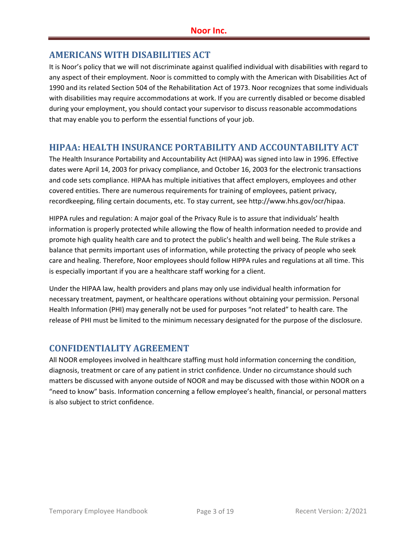## **AMERICANS WITH DISABILITIES ACT**

It is Noor's policy that we will not discriminate against qualified individual with disabilities with regard to any aspect of their employment. Noor is committed to comply with the American with Disabilities Act of 1990 and its related Section 504 of the Rehabilitation Act of 1973. Noor recognizes that some individuals with disabilities may require accommodations at work. If you are currently disabled or become disabled during your employment, you should contact your supervisor to discuss reasonable accommodations that may enable you to perform the essential functions of your job.

## **HIPAA: HEALTH INSURANCE PORTABILITY AND ACCOUNTABILITY ACT**

The Health Insurance Portability and Accountability Act (HIPAA) was signed into law in 1996. Effective dates were April 14, 2003 for privacy compliance, and October 16, 2003 for the electronic transactions and code sets compliance. HIPAA has multiple initiatives that affect employers, employees and other covered entities. There are numerous requirements for training of employees, patient privacy, recordkeeping, filing certain documents, etc. To stay current, see http://www.hhs.gov/ocr/hipaa.

HIPPA rules and regulation: A major goal of the Privacy Rule is to assure that individuals' health information is properly protected while allowing the flow of health information needed to provide and promote high quality health care and to protect the public's health and well being. The Rule strikes a balance that permits important uses of information, while protecting the privacy of people who seek care and healing. Therefore, Noor employees should follow HIPPA rules and regulations at all time. This is especially important if you are a healthcare staff working for a client.

Under the HIPAA law, health providers and plans may only use individual health information for necessary treatment, payment, or healthcare operations without obtaining your permission. Personal Health Information (PHI) may generally not be used for purposes "not related" to health care. The release of PHI must be limited to the minimum necessary designated for the purpose of the disclosure.

# **CONFIDENTIALITY AGREEMENT**

All NOOR employees involved in healthcare staffing must hold information concerning the condition, diagnosis, treatment or care of any patient in strict confidence. Under no circumstance should such matters be discussed with anyone outside of NOOR and may be discussed with those within NOOR on a "need to know" basis. Information concerning a fellow employee's health, financial, or personal matters is also subject to strict confidence.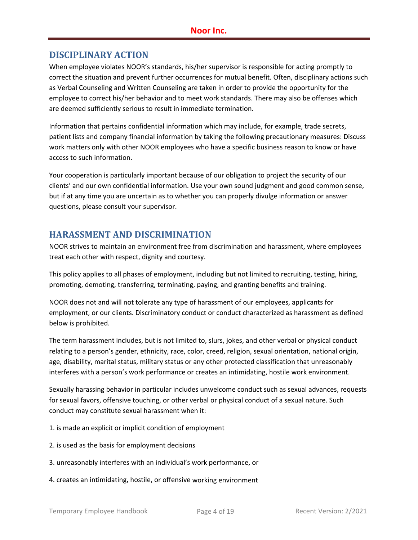## **DISCIPLINARY ACTION**

When employee violates NOOR's standards, his/her supervisor is responsible for acting promptly to correct the situation and prevent further occurrences for mutual benefit. Often, disciplinary actions such as Verbal Counseling and Written Counseling are taken in order to provide the opportunity for the employee to correct his/her behavior and to meet work standards. There may also be offenses which are deemed sufficiently serious to result in immediate termination.

Information that pertains confidential information which may include, for example, trade secrets, patient lists and company financial information by taking the following precautionary measures: Discuss work matters only with other NOOR employees who have a specific business reason to know or have access to such information.

Your cooperation is particularly important because of our obligation to project the security of our clients' and our own confidential information. Use your own sound judgment and good common sense, but if at any time you are uncertain as to whether you can properly divulge information or answer questions, please consult your supervisor.

## **HARASSMENT AND DISCRIMINATION**

NOOR strives to maintain an environment free from discrimination and harassment, where employees treat each other with respect, dignity and courtesy.

This policy applies to all phases of employment, including but not limited to recruiting, testing, hiring, promoting, demoting, transferring, terminating, paying, and granting benefits and training.

NOOR does not and will not tolerate any type of harassment of our employees, applicants for employment, or our clients. Discriminatory conduct or conduct characterized as harassment as defined below is prohibited.

The term harassment includes, but is not limited to, slurs, jokes, and other verbal or physical conduct relating to a person's gender, ethnicity, race, color, creed, religion, sexual orientation, national origin, age, disability, marital status, military status or any other protected classification that unreasonably interferes with a person's work performance or creates an intimidating, hostile work environment.

Sexually harassing behavior in particular includes unwelcome conduct such as sexual advances, requests for sexual favors, offensive touching, or other verbal or physical conduct of a sexual nature. Such conduct may constitute sexual harassment when it:

- 1. is made an explicit or implicit condition of employment
- 2. is used as the basis for employment decisions
- 3. unreasonably interferes with an individual's work performance, or
- 4. creates an intimidating, hostile, or offensive working environment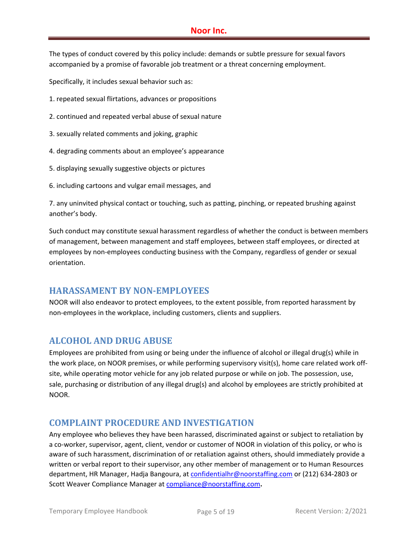#### **Noor Inc.**

The types of conduct covered by this policy include: demands or subtle pressure for sexual favors accompanied by a promise of favorable job treatment or a threat concerning employment.

Specifically, it includes sexual behavior such as:

- 1. repeated sexual flirtations, advances or propositions
- 2. continued and repeated verbal abuse of sexual nature
- 3. sexually related comments and joking, graphic
- 4. degrading comments about an employee's appearance
- 5. displaying sexually suggestive objects or pictures
- 6. including cartoons and vulgar email messages, and

7. any uninvited physical contact or touching, such as patting, pinching, or repeated brushing against another's body.

Such conduct may constitute sexual harassment regardless of whether the conduct is between members of management, between management and staff employees, between staff employees, or directed at employees by non-employees conducting business with the Company, regardless of gender or sexual orientation.

#### **HARASSAMENT BY NON‐EMPLOYEES**

NOOR will also endeavor to protect employees, to the extent possible, from reported harassment by non-employees in the workplace, including customers, clients and suppliers.

## **ALCOHOL AND DRUG ABUSE**

Employees are prohibited from using or being under the influence of alcohol or illegal drug(s) while in the work place, on NOOR premises, or while performing supervisory visit(s), home care related work off‐ site, while operating motor vehicle for any job related purpose or while on job. The possession, use, sale, purchasing or distribution of any illegal drug(s) and alcohol by employees are strictly prohibited at NOOR.

## **COMPLAINT PROCEDURE AND INVESTIGATION**

Any employee who believes they have been harassed, discriminated against or subject to retaliation by a co-worker, supervisor, agent, client, vendor or customer of NOOR in violation of this policy, or who is aware of such harassment, discrimination of or retaliation against others, should immediately provide a written or verbal report to their supervisor, any other member of management or to Human Resources department, HR Manager, Hadja Bangoura, at confidentialhr@noorstaffing.com or (212) 634‐2803 or Scott Weaver Compliance Manager at compliance@noorstaffing.com**.**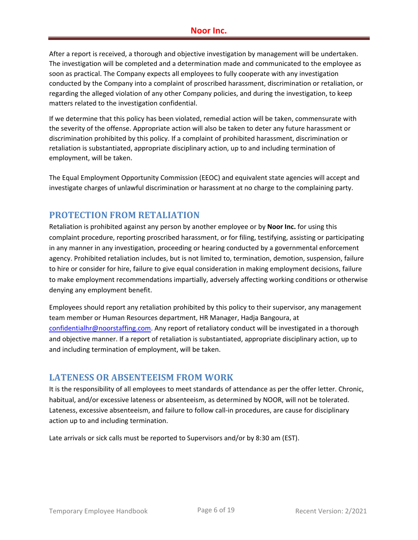After a report is received, a thorough and objective investigation by management will be undertaken. The investigation will be completed and a determination made and communicated to the employee as soon as practical. The Company expects all employees to fully cooperate with any investigation conducted by the Company into a complaint of proscribed harassment, discrimination or retaliation, or regarding the alleged violation of any other Company policies, and during the investigation, to keep matters related to the investigation confidential.

If we determine that this policy has been violated, remedial action will be taken, commensurate with the severity of the offense. Appropriate action will also be taken to deter any future harassment or discrimination prohibited by this policy. If a complaint of prohibited harassment, discrimination or retaliation is substantiated, appropriate disciplinary action, up to and including termination of employment, will be taken.

The Equal Employment Opportunity Commission (EEOC) and equivalent state agencies will accept and investigate charges of unlawful discrimination or harassment at no charge to the complaining party.

## **PROTECTION FROM RETALIATION**

Retaliation is prohibited against any person by another employee or by **Noor Inc.** for using this complaint procedure, reporting proscribed harassment, or for filing, testifying, assisting or participating in any manner in any investigation, proceeding or hearing conducted by a governmental enforcement agency. Prohibited retaliation includes, but is not limited to, termination, demotion, suspension, failure to hire or consider for hire, failure to give equal consideration in making employment decisions, failure to make employment recommendations impartially, adversely affecting working conditions or otherwise denying any employment benefit.

Employees should report any retaliation prohibited by this policy to their supervisor, any management team member or Human Resources department, HR Manager, Hadja Bangoura, at confidentialhr@noorstaffing.com. Any report of retaliatory conduct will be investigated in a thorough and objective manner. If a report of retaliation is substantiated, appropriate disciplinary action, up to and including termination of employment, will be taken.

## **LATENESS OR ABSENTEEISM FROM WORK**

It is the responsibility of all employees to meet standards of attendance as per the offer letter. Chronic, habitual, and/or excessive lateness or absenteeism, as determined by NOOR, will not be tolerated. Lateness, excessive absenteeism, and failure to follow call‐in procedures, are cause for disciplinary action up to and including termination.

Late arrivals or sick calls must be reported to Supervisors and/or by 8:30 am (EST).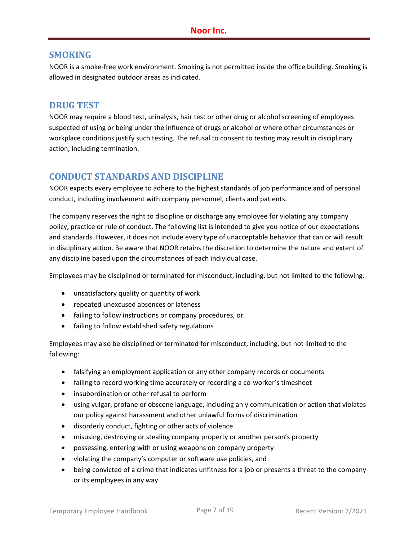#### **SMOKING**

NOOR is a smoke‐free work environment. Smoking is not permitted inside the office building. Smoking is allowed in designated outdoor areas as indicated.

### **DRUG TEST**

NOOR may require a blood test, urinalysis, hair test or other drug or alcohol screening of employees suspected of using or being under the influence of drugs or alcohol or where other circumstances or workplace conditions justify such testing. The refusal to consent to testing may result in disciplinary action, including termination.

## **CONDUCT STANDARDS AND DISCIPLINE**

NOOR expects every employee to adhere to the highest standards of job performance and of personal conduct, including involvement with company personnel, clients and patients.

The company reserves the right to discipline or discharge any employee for violating any company policy, practice or rule of conduct. The following list is intended to give you notice of our expectations and standards. However, it does not include every type of unacceptable behavior that can or will result in disciplinary action. Be aware that NOOR retains the discretion to determine the nature and extent of any discipline based upon the circumstances of each individual case.

Employees may be disciplined or terminated for misconduct, including, but not limited to the following:

- unsatisfactory quality or quantity of work
- repeated unexcused absences or lateness
- failing to follow instructions or company procedures, or
- failing to follow established safety regulations

Employees may also be disciplined or terminated for misconduct, including, but not limited to the following:

- falsifying an employment application or any other company records or documents
- failing to record working time accurately or recording a co-worker's timesheet
- insubordination or other refusal to perform
- using vulgar, profane or obscene language, including an y communication or action that violates our policy against harassment and other unlawful forms of discrimination
- disorderly conduct, fighting or other acts of violence
- misusing, destroying or stealing company property or another person's property
- possessing, entering with or using weapons on company property
- violating the company's computer or software use policies, and
- being convicted of a crime that indicates unfitness for a job or presents a threat to the company or its employees in any way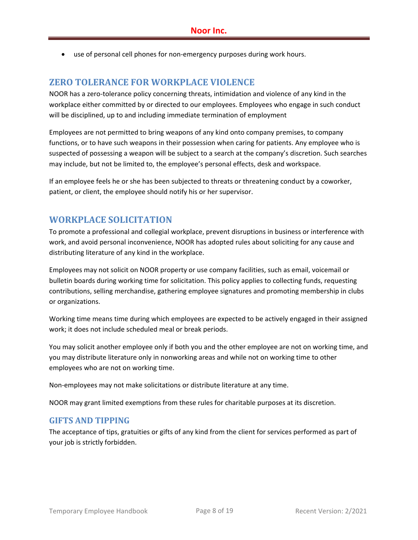● use of personal cell phones for non-emergency purposes during work hours.

#### **ZERO TOLERANCE FOR WORKPLACE VIOLENCE**

NOOR has a zero‐tolerance policy concerning threats, intimidation and violence of any kind in the workplace either committed by or directed to our employees. Employees who engage in such conduct will be disciplined, up to and including immediate termination of employment

Employees are not permitted to bring weapons of any kind onto company premises, to company functions, or to have such weapons in their possession when caring for patients. Any employee who is suspected of possessing a weapon will be subject to a search at the company's discretion. Such searches may include, but not be limited to, the employee's personal effects, desk and workspace.

If an employee feels he or she has been subjected to threats or threatening conduct by a coworker, patient, or client, the employee should notify his or her supervisor.

#### **WORKPLACE SOLICITATION**

To promote a professional and collegial workplace, prevent disruptions in business or interference with work, and avoid personal inconvenience, NOOR has adopted rules about soliciting for any cause and distributing literature of any kind in the workplace.

Employees may not solicit on NOOR property or use company facilities, such as email, voicemail or bulletin boards during working time for solicitation. This policy applies to collecting funds, requesting contributions, selling merchandise, gathering employee signatures and promoting membership in clubs or organizations.

Working time means time during which employees are expected to be actively engaged in their assigned work; it does not include scheduled meal or break periods.

You may solicit another employee only if both you and the other employee are not on working time, and you may distribute literature only in nonworking areas and while not on working time to other employees who are not on working time.

Non‐employees may not make solicitations or distribute literature at any time.

NOOR may grant limited exemptions from these rules for charitable purposes at its discretion.

#### **GIFTS AND TIPPING**

The acceptance of tips, gratuities or gifts of any kind from the client for services performed as part of your job is strictly forbidden.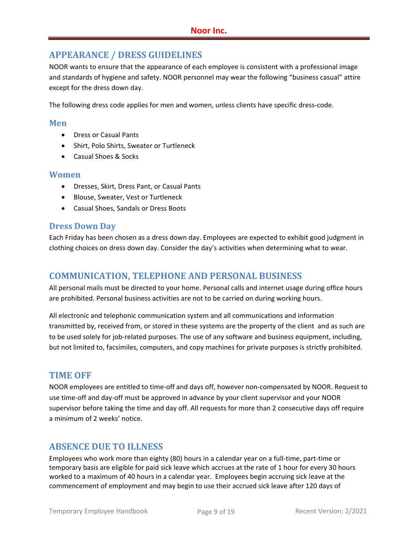# **APPEARANCE / DRESS GUIDELINES**

NOOR wants to ensure that the appearance of each employee is consistent with a professional image and standards of hygiene and safety. NOOR personnel may wear the following "business casual" attire except for the dress down day.

The following dress code applies for men and women, unless clients have specific dress‐code.

#### **Men**

- Dress or Casual Pants
- Shirt, Polo Shirts, Sweater or Turtleneck
- Casual Shoes & Socks

#### **Women**

- Dresses, Skirt, Dress Pant, or Casual Pants
- Blouse, Sweater, Vest or Turtleneck
- Casual Shoes, Sandals or Dress Boots

#### **Dress Down Day**

Each Friday has been chosen as a dress down day. Employees are expected to exhibit good judgment in clothing choices on dress down day. Consider the day's activities when determining what to wear.

## **COMMUNICATION, TELEPHONE AND PERSONAL BUSINESS**

All personal mails must be directed to your home. Personal calls and internet usage during office hours are prohibited. Personal business activities are not to be carried on during working hours.

All electronic and telephonic communication system and all communications and information transmitted by, received from, or stored in these systems are the property of the client and as such are to be used solely for job-related purposes. The use of any software and business equipment, including, but not limited to, facsimiles, computers, and copy machines for private purposes is strictly prohibited.

## **TIME OFF**

NOOR employees are entitled to time‐off and days off, however non‐compensated by NOOR. Request to use time‐off and day‐off must be approved in advance by your client supervisor and your NOOR supervisor before taking the time and day off. All requests for more than 2 consecutive days off require a minimum of 2 weeks' notice.

# **ABSENCE DUE TO ILLNESS**

Employees who work more than eighty (80) hours in a calendar year on a full‐time, part‐time or temporary basis are eligible for paid sick leave which accrues at the rate of 1 hour for every 30 hours worked to a maximum of 40 hours in a calendar year. Employees begin accruing sick leave at the commencement of employment and may begin to use their accrued sick leave after 120 days of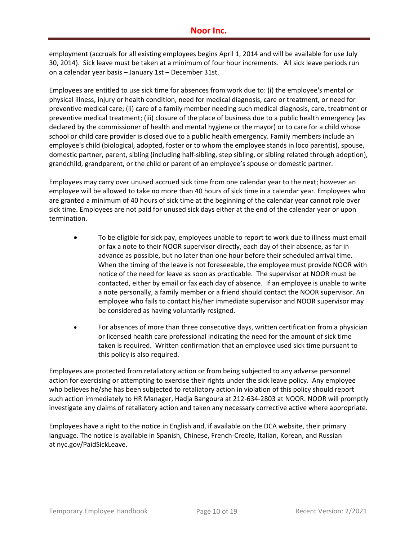employment (accruals for all existing employees begins April 1, 2014 and will be available for use July 30, 2014). Sick leave must be taken at a minimum of four hour increments. All sick leave periods run on a calendar year basis – January 1st – December 31st.

Employees are entitled to use sick time for absences from work due to: (i) the employee's mental or physical illness, injury or health condition, need for medical diagnosis, care or treatment, or need for preventive medical care; (ii) care of a family member needing such medical diagnosis, care, treatment or preventive medical treatment; (iii) closure of the place of business due to a public health emergency (as declared by the commissioner of health and mental hygiene or the mayor) or to care for a child whose school or child care provider is closed due to a public health emergency. Family members include an employee's child (biological, adopted, foster or to whom the employee stands in loco parentis), spouse, domestic partner, parent, sibling (including half‐sibling, step sibling, or sibling related through adoption), grandchild, grandparent, or the child or parent of an employee's spouse or domestic partner.

Employees may carry over unused accrued sick time from one calendar year to the next; however an employee will be allowed to take no more than 40 hours of sick time in a calendar year. Employees who are granted a minimum of 40 hours of sick time at the beginning of the calendar year cannot role over sick time. Employees are not paid for unused sick days either at the end of the calendar year or upon termination.

- To be eligible for sick pay, employees unable to report to work due to illness must email or fax a note to their NOOR supervisor directly, each day of their absence, as far in advance as possible, but no later than one hour before their scheduled arrival time. When the timing of the leave is not foreseeable, the employee must provide NOOR with notice of the need for leave as soon as practicable. The supervisor at NOOR must be contacted, either by email or fax each day of absence. If an employee is unable to write a note personally, a family member or a friend should contact the NOOR supervisor. An employee who fails to contact his/her immediate supervisor and NOOR supervisor may be considered as having voluntarily resigned.
- For absences of more than three consecutive days, written certification from a physician or licensed health care professional indicating the need for the amount of sick time taken is required. Written confirmation that an employee used sick time pursuant to this policy is also required.

Employees are protected from retaliatory action or from being subjected to any adverse personnel action for exercising or attempting to exercise their rights under the sick leave policy. Any employee who believes he/she has been subjected to retaliatory action in violation of this policy should report such action immediately to HR Manager, Hadja Bangoura at 212‐634‐2803 at NOOR. NOOR will promptly investigate any claims of retaliatory action and taken any necessary corrective active where appropriate.

Employees have a right to the notice in English and, if available on the DCA website, their primary language. The notice is available in Spanish, Chinese, French-Creole, Italian, Korean, and Russian at nyc.gov/PaidSickLeave.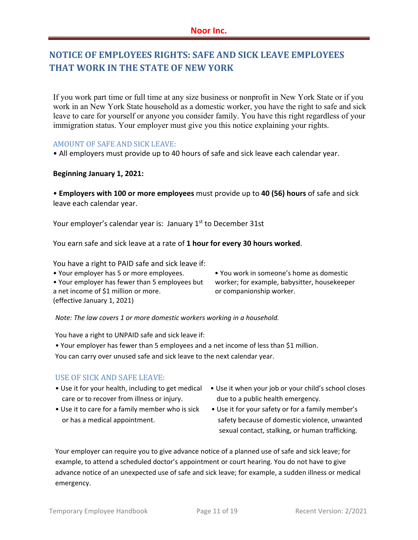# **NOTICE OF EMPLOYEES RIGHTS: SAFE AND SICK LEAVE EMPLOYEES THAT WORK IN THE STATE OF NEW YORK**

If you work part time or full time at any size business or nonprofit in New York State or if you work in an New York State household as a domestic worker, you have the right to safe and sick leave to care for yourself or anyone you consider family. You have this right regardless of your immigration status. Your employer must give you this notice explaining your rights.

#### AMOUNT OF SAFE AND SICK LEAVE:

• All employers must provide up to 40 hours of safe and sick leave each calendar year.

#### **Beginning January 1, 2021:**

• **Employers with 100 or more employees** must provide up to **40 (56) hours** of safe and sick leave each calendar year.

Your employer's calendar year is: January 1<sup>st</sup> to December 31st

You earn safe and sick leave at a rate of **1 hour for every 30 hours worked**.

You have a right to PAID safe and sick leave if:

- 
- Your employer has fewer than 5 employees but worker; for example, babysitter, housekeeper
- a net income of \$1 million or more. The same or companionship worker. (effective January 1, 2021)

• Your employer has 5 or more employees. • You work in someone's home as domestic

*Note: The law covers 1 or more domestic workers working in a household.* 

You have a right to UNPAID safe and sick leave if:

• Your employer has fewer than 5 employees and a net income of less than \$1 million.

You can carry over unused safe and sick leave to the next calendar year.

#### USE OF SICK AND SAFE LEAVE:

- care or to recover from illness or injury. Moreover due to a public health emergency.
- 
- Use it for your health, including to get medical Use it when your job or your child's school closes
- Use it to care for a family member who is sick Use it for your safety or for a family member's or has a medical appointment. safety because of domestic violence, unwanted sexual contact, stalking, or human trafficking.

Your employer can require you to give advance notice of a planned use of safe and sick leave; for example, to attend a scheduled doctor's appointment or court hearing. You do not have to give advance notice of an unexpected use of safe and sick leave; for example, a sudden illness or medical emergency.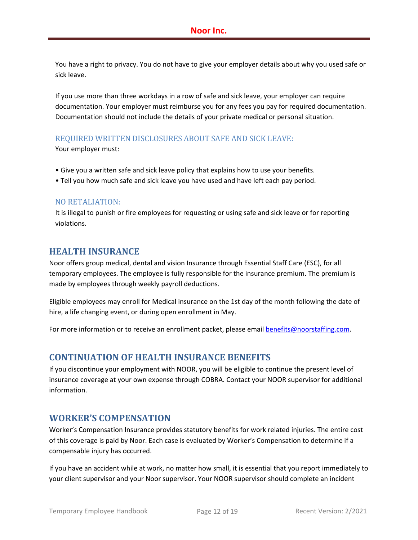You have a right to privacy. You do not have to give your employer details about why you used safe or sick leave.

If you use more than three workdays in a row of safe and sick leave, your employer can require documentation. Your employer must reimburse you for any fees you pay for required documentation. Documentation should not include the details of your private medical or personal situation.

#### REQUIRED WRITTEN DISCLOSURES ABOUT SAFE AND SICK LEAVE:

Your employer must:

- Give you a written safe and sick leave policy that explains how to use your benefits.
- Tell you how much safe and sick leave you have used and have left each pay period.

#### NO RETALIATION:

It is illegal to punish or fire employees for requesting or using safe and sick leave or for reporting violations.

#### **HEALTH INSURANCE**

Noor offers group medical, dental and vision Insurance through Essential Staff Care (ESC), for all temporary employees. The employee is fully responsible for the insurance premium. The premium is made by employees through weekly payroll deductions.

Eligible employees may enroll for Medical insurance on the 1st day of the month following the date of hire, a life changing event, or during open enrollment in May.

For more information or to receive an enrollment packet, please email **benefits@noorstaffing.com**.

## **CONTINUATION OF HEALTH INSURANCE BENEFITS**

If you discontinue your employment with NOOR, you will be eligible to continue the present level of insurance coverage at your own expense through COBRA. Contact your NOOR supervisor for additional information.

## **WORKER'S COMPENSATION**

Worker's Compensation Insurance provides statutory benefits for work related injuries. The entire cost of this coverage is paid by Noor. Each case is evaluated by Worker's Compensation to determine if a compensable injury has occurred.

If you have an accident while at work, no matter how small, it is essential that you report immediately to your client supervisor and your Noor supervisor. Your NOOR supervisor should complete an incident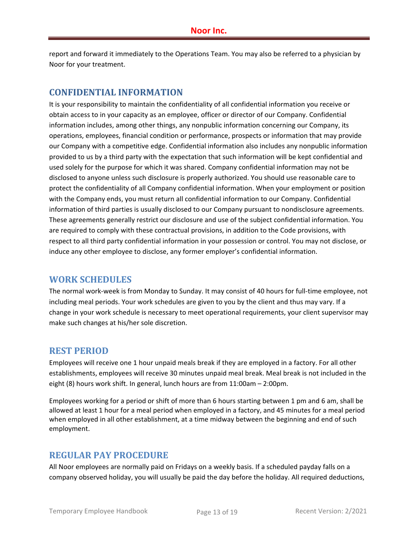report and forward it immediately to the Operations Team. You may also be referred to a physician by Noor for your treatment.

## **CONFIDENTIAL INFORMATION**

It is your responsibility to maintain the confidentiality of all confidential information you receive or obtain access to in your capacity as an employee, officer or director of our Company. Confidential information includes, among other things, any nonpublic information concerning our Company, its operations, employees, financial condition or performance, prospects or information that may provide our Company with a competitive edge. Confidential information also includes any nonpublic information provided to us by a third party with the expectation that such information will be kept confidential and used solely for the purpose for which it was shared. Company confidential information may not be disclosed to anyone unless such disclosure is properly authorized. You should use reasonable care to protect the confidentiality of all Company confidential information. When your employment or position with the Company ends, you must return all confidential information to our Company. Confidential information of third parties is usually disclosed to our Company pursuant to nondisclosure agreements. These agreements generally restrict our disclosure and use of the subject confidential information. You are required to comply with these contractual provisions, in addition to the Code provisions, with respect to all third party confidential information in your possession or control. You may not disclose, or induce any other employee to disclose, any former employer's confidential information.

## **WORK SCHEDULES**

The normal work‐week is from Monday to Sunday. It may consist of 40 hours for full‐time employee, not including meal periods. Your work schedules are given to you by the client and thus may vary. If a change in your work schedule is necessary to meet operational requirements, your client supervisor may make such changes at his/her sole discretion.

#### **REST PERIOD**

Employees will receive one 1 hour unpaid meals break if they are employed in a factory. For all other establishments, employees will receive 30 minutes unpaid meal break. Meal break is not included in the eight (8) hours work shift. In general, lunch hours are from 11:00am – 2:00pm.

Employees working for a period or shift of more than 6 hours starting between 1 pm and 6 am, shall be allowed at least 1 hour for a meal period when employed in a factory, and 45 minutes for a meal period when employed in all other establishment, at a time midway between the beginning and end of such employment.

## **REGULAR PAY PROCEDURE**

All Noor employees are normally paid on Fridays on a weekly basis. If a scheduled payday falls on a company observed holiday, you will usually be paid the day before the holiday. All required deductions,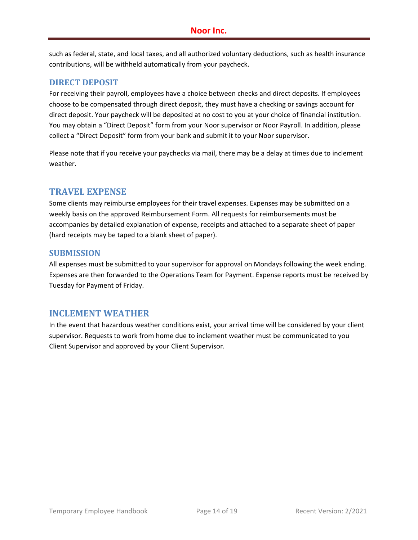such as federal, state, and local taxes, and all authorized voluntary deductions, such as health insurance contributions, will be withheld automatically from your paycheck.

#### **DIRECT DEPOSIT**

For receiving their payroll, employees have a choice between checks and direct deposits. If employees choose to be compensated through direct deposit, they must have a checking or savings account for direct deposit. Your paycheck will be deposited at no cost to you at your choice of financial institution. You may obtain a "Direct Deposit" form from your Noor supervisor or Noor Payroll. In addition, please collect a "Direct Deposit" form from your bank and submit it to your Noor supervisor.

Please note that if you receive your paychecks via mail, there may be a delay at times due to inclement weather.

#### **TRAVEL EXPENSE**

Some clients may reimburse employees for their travel expenses. Expenses may be submitted on a weekly basis on the approved Reimbursement Form. All requests for reimbursements must be accompanies by detailed explanation of expense, receipts and attached to a separate sheet of paper (hard receipts may be taped to a blank sheet of paper).

#### **SUBMISSION**

All expenses must be submitted to your supervisor for approval on Mondays following the week ending. Expenses are then forwarded to the Operations Team for Payment. Expense reports must be received by Tuesday for Payment of Friday.

#### **INCLEMENT WEATHER**

In the event that hazardous weather conditions exist, your arrival time will be considered by your client supervisor. Requests to work from home due to inclement weather must be communicated to you Client Supervisor and approved by your Client Supervisor.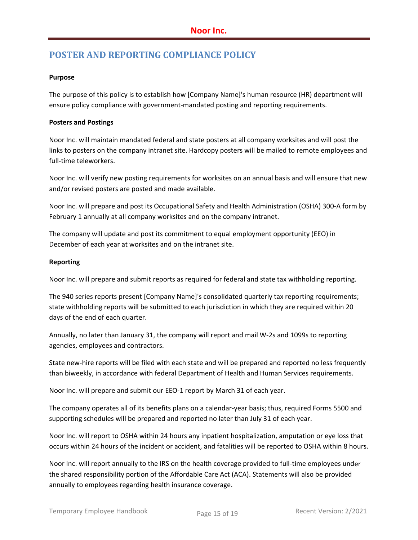# **POSTER AND REPORTING COMPLIANCE POLICY**

#### **Purpose**

The purpose of this policy is to establish how [Company Name]'s human resource (HR) department will ensure policy compliance with government-mandated posting and reporting requirements.

#### **Posters and Postings**

Noor Inc. will maintain mandated federal and state posters at all company worksites and will post the links to posters on the company intranet site. Hardcopy posters will be mailed to remote employees and full‐time teleworkers.

Noor Inc. will verify new posting requirements for worksites on an annual basis and will ensure that new and/or revised posters are posted and made available.

Noor Inc. will prepare and post its Occupational Safety and Health Administration (OSHA) 300‐A form by February 1 annually at all company worksites and on the company intranet.

The company will update and post its commitment to equal employment opportunity (EEO) in December of each year at worksites and on the intranet site.

#### **Reporting**

Noor Inc. will prepare and submit reports as required for federal and state tax withholding reporting.

The 940 series reports present [Company Name]'s consolidated quarterly tax reporting requirements; state withholding reports will be submitted to each jurisdiction in which they are required within 20 days of the end of each quarter.

Annually, no later than January 31, the company will report and mail W‐2s and 1099s to reporting agencies, employees and contractors.

State new-hire reports will be filed with each state and will be prepared and reported no less frequently than biweekly, in accordance with federal Department of Health and Human Services requirements.

Noor Inc. will prepare and submit our EEO‐1 report by March 31 of each year.

The company operates all of its benefits plans on a calendar‐year basis; thus, required Forms 5500 and supporting schedules will be prepared and reported no later than July 31 of each year.

Noor Inc. will report to OSHA within 24 hours any inpatient hospitalization, amputation or eye loss that occurs within 24 hours of the incident or accident, and fatalities will be reported to OSHA within 8 hours.

Noor Inc. will report annually to the IRS on the health coverage provided to full‐time employees under the shared responsibility portion of the Affordable Care Act (ACA). Statements will also be provided annually to employees regarding health insurance coverage.